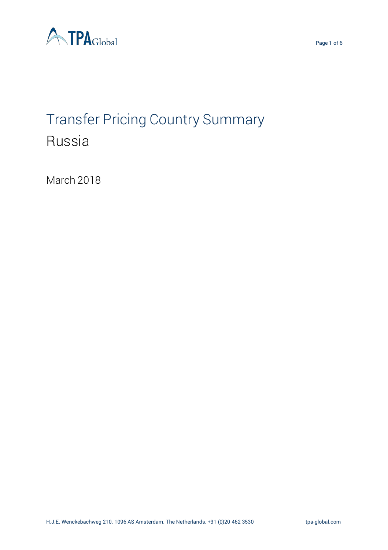

# Transfer Pricing Country Summary Russia

March 2018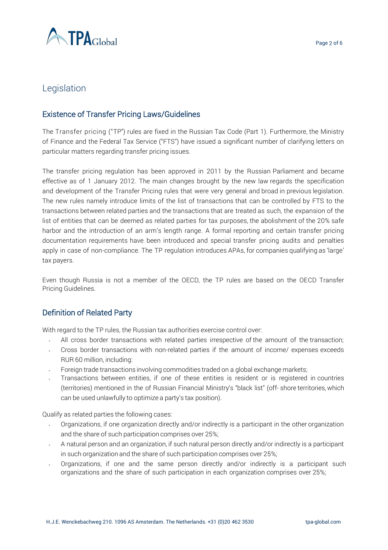

### Legislation

#### Existence of Transfer Pricing Laws/Guidelines

The Transfer pricing ("TP") rules are fixed in the Russian Tax Code (Part 1). Furthermore, the Ministry of Finance and the Federal Tax Service ("FTS") have issued a significant number of clarifying letters on particular matters regarding transfer pricing issues.

The transfer pricing regulation has been approved in 2011 by the Russian Parliament and became effective as of 1 January 2012. The main changes brought by the new law regards the specification and development of the Transfer Pricing rules that were very general and broad in previous legislation. The new rules namely introduce limits of the list of transactions that can be controlled by FTS to the transactions between related parties and the transactions that are treated as such, the expansion of the list of entities that can be deemed as related parties for tax purposes, the abolishment of the 20% safe harbor and the introduction of an arm's length range. A formal reporting and certain transfer pricing documentation requirements have been introduced and special transfer pricing audits and penalties apply in case of non-compliance. The TP regulation introduces APAs, for companies qualifying as 'large' tax payers.

Even though Russia is not a member of the OECD, the TP rules are based on the OECD Transfer Pricing Guidelines.

#### Definition of Related Party

With regard to the TP rules, the Russian tax authorities exercise control over:

- $\mathcal{L}$ All cross border transactions with related parties irrespective of the amount of the transaction;
- Cross border transactions with non-related parties if the amount of income/ expenses exceeds RUR 60 million, including:
- Foreign trade transactions involving commodities traded on a global exchange markets;
- Transactions between entities, if one of these entities is resident or is registered in countries (territories) mentioned in the of Russian Financial Ministry's "black list" (off- shore territories, which can be used unlawfully to optimize a party's tax position).

Qualify as related parties the following cases:

- Organizations, if one organization directly and/or indirectly is a participant in the other organization and the share of such participation comprises over 25%;
- A natural person and an organization, if such natural person directly and/or indirectly is a participant in such organization and the share of such participation comprises over 25%;
- Organizations, if one and the same person directly and/or indirectly is a participant such organizations and the share of such participation in each organization comprises over 25%;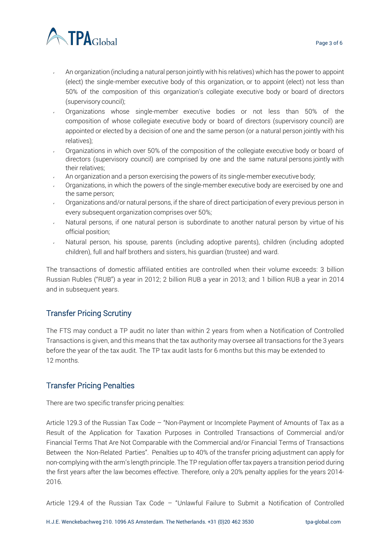

- An organization (including a natural person jointly with his relatives) which has the power to appoint (elect) the single-member executive body of this organization, or to appoint (elect) not less than 50% of the composition of this organization's collegiate executive body or board of directors (supervisory council);
- Organizations whose single-member executive bodies or not less than 50% of the composition of whose collegiate executive body or board of directors (supervisory council) are appointed or elected by a decision of one and the same person (or a natural person jointly with his relatives);
- Organizations in which over 50% of the composition of the collegiate executive body or board of  $\mathbf{v}$ directors (supervisory council) are comprised by one and the same natural persons jointly with their relatives;
- An organization and a person exercising the powers of its single-member executive body;
- Organizations, in which the powers of the single-member executive body are exercised by one and the same person;
- Organizations and/or natural persons, if the share of direct participation of every previous person in every subsequent organization comprises over 50%;
- Natural persons, if one natural person is subordinate to another natural person by virtue of his official position;
- Natural person, his spouse, parents (including adoptive parents), children (including adopted children), full and half brothers and sisters, his guardian (trustee) and ward.

The transactions of domestic affiliated entities are controlled when their volume exceeds: 3 billion Russian Rubles ("RUB") a year in 2012; 2 billion RUB a year in 2013; and 1 billion RUB a year in 2014 and in subsequent years.

#### Transfer Pricing Scrutiny

The FTS may conduct a TP audit no later than within 2 years from when a Notification of Controlled Transactions is given, and this means that the tax authority may oversee all transactions for the 3 years before the year of the tax audit. The TP tax audit lasts for 6 months but this may be extended to 12 months.

#### Transfer Pricing Penalties

There are two specific transfer pricing penalties:

Article 129.3 of the Russian Tax Code - "Non-Payment or Incomplete Payment of Amounts of Tax as a Result of the Application for Taxation Purposes in Controlled Transactions of Commercial and/or Financial Terms That Are Not Comparable with the Commercial and/or Financial Terms of Transactions Between the Non-Related Parties". Penalties up to 40% of the transfer pricing adjustment can apply for non-complying with the arm's length principle. The TP regulation offer tax payers a transition period during the first years after the law becomes effective. Therefore, only a 20% penalty applies for the years 2014- 2016.

Article 129.4 of the Russian Tax Code – "Unlawful Failure to Submit a Notification of Controlled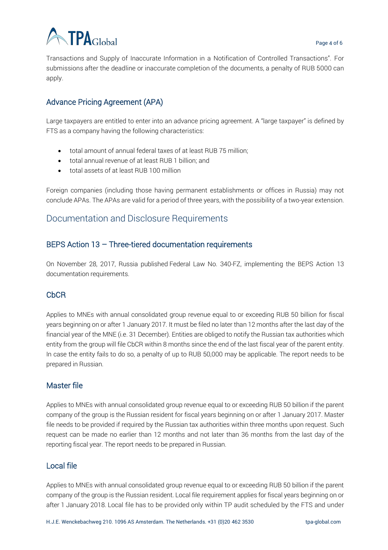

Transactions and Supply of Inaccurate Information in a Notification of Controlled Transactions". For submissions after the deadline or inaccurate completion of the documents, a penalty of RUB 5000 can apply.

#### Advance Pricing Agreement (APA)

Large taxpayers are entitled to enter into an advance pricing agreement. A "large taxpayer" is defined by FTS as a company having the following characteristics:

- total amount of annual federal taxes of at least RUB 75 million;
- total annual revenue of at least RUB 1 billion; and
- total assets of at least RUB 100 million

Foreign companies (including those having permanent establishments or offices in Russia) may not conclude APAs. The APAs are valid for a period of three years, with the possibility of a two-year extension.

#### Documentation and Disclosure Requirements

#### BEPS Action 13 – Three-tiered documentation requirements

On November 28, 2017, Russia published Federal Law No. 340-FZ, implementing the BEPS Action 13 documentation requirements.

#### CbCR

Applies to MNEs with annual consolidated group revenue equal to or exceeding RUB 50 billion for fiscal years beginning on or after 1 January 2017. It must be filed no later than 12 months after the last day of the financial year of the MNE (i.e. 31 December). Entities are obliged to notify the Russian tax authorities which entity from the group will file CbCR within 8 months since the end of the last fiscal year of the parent entity. In case the entity fails to do so, a penalty of up to RUB 50,000 may be applicable. The report needs to be prepared in Russian.

#### Master file

Applies to MNEs with annual consolidated group revenue equal to or exceeding RUB 50 billion if the parent company of the group is the Russian resident for fiscal years beginning on or after 1 January 2017. Master file needs to be provided if required by the Russian tax authorities within three months upon request. Such request can be made no earlier than 12 months and not later than 36 months from the last day of the reporting fiscal year. The report needs to be prepared in Russian.

#### Local file

Applies to MNEs with annual consolidated group revenue equal to or exceeding RUB 50 billion if the parent company of the group is the Russian resident. Local file requirement applies for fiscal years beginning on or after 1 January 2018. Local file has to be provided only within TP audit scheduled by the FTS and under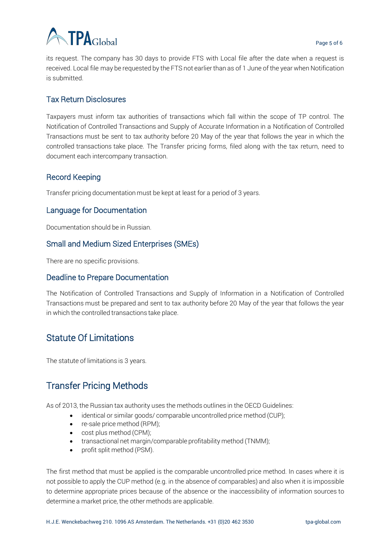# **ATPA**Global

its request. The company has 30 days to provide FTS with Local file after the date when a request is received. Local file may be requested by the FTS not earlierthan as of 1 June of the year when Notification is submitted.

#### Tax Return Disclosures

Taxpayers must inform tax authorities of transactions which fall within the scope of TP control. The Notification of Controlled Transactions and Supply of Accurate Information in a Notification of Controlled Transactions must be sent to tax authority before 20 May of the year that follows the year in which the controlled transactions take place. The Transfer pricing forms, filed along with the tax return, need to document each intercompany transaction.

#### Record Keeping

Transfer pricing documentation must be kept at least for a period of 3 years.

#### Language for Documentation

Documentation should be in Russian.

#### Small and Medium Sized Enterprises (SMEs)

There are no specific provisions.

#### Deadline to Prepare Documentation

The Notification of Controlled Transactions and Supply of Information in a Notification of Controlled Transactions must be prepared and sent to tax authority before 20 May of the year that follows the year in which the controlled transactions take place.

# Statute Of Limitations

The statute of limitations is 3 years.

# Transfer Pricing Methods

As of 2013, the Russian tax authority uses the methods outlines in the OECD Guidelines:

- identical or similar goods/ comparable uncontrolled price method (CUP);
- re-sale price method (RPM);
- cost plus method (CPM);
- transactional net margin/comparable profitability method (TNMM);
- profit split method (PSM).

The first method that must be applied is the comparable uncontrolled price method. In cases where it is not possible to apply the CUP method (e.g. in the absence of comparables) and also when it is impossible to determine appropriate prices because of the absence or the inaccessibility of information sources to determine a market price, the other methods are applicable.